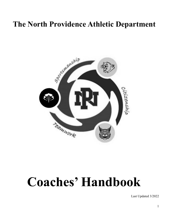# **The North Providence Athletic Department**



# **Coaches' Handbook**

Last Updated 3/2022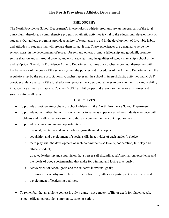#### **The North Providence Athletic Department**

#### **PHILOSOPHY**

The North Providence School Deaprtment's interscholastic athletic programs are an integral part of the total curriculum; therefore, a comprehensive program of athletic activities is vital to the educational development of students. Our athletic programs provide a variety of experiences to aid in the development of favorable habits and attitudes in students that will prepare them for adult life. These experiences are designed to serve the school, assist in the development of respect for self and others, promote fellowship and goodwill, promote self-realization and all-around growth, and encourage learning the qualities of good citizenship, school pride and self pride. The North Providence Athletic Department requires our coaches to conduct themselves within the framework of the goals of the school system, the policies and procedures of the Athletic Department and the regulations set by the state associations. Coaches represent the school in interscholastic activities and MUST consider athletics as part of the total education program, encouraging athletes to work to their maximum ability in academics as well as in sports. Coaches MUST exhibit proper and exemplary behavior at all times and strictly enforce all rules.

#### **OBJECTIVES**

- To provide a positive atmosphere of school athletics in the North Providence School Department
- To provide opportunities that will allow athletics to serve as experiences where students may cope with problems and handle situations similar to those encountered in the contemporary world.
- To provide adequate and natural opportunities for:
	- physical, mental, social and emotional growth and development;
	- acquisition and development of special skills in activities of each student's choice;
	- team play with the development of such commitments as loyalty, cooperation, fair play and ethical conduct;
	- directed leadership and supervision that stresses self-discipline, self-motivation, excellence and the ideals of good sportsmanship that make for winning and losing graciously;
	- achievement of school goals and the student's individual goals;
	- provisions for worthy use of leisure time in later life, either as a participant or spectator; and
	- development of leadership qualities.
- To remember that an athletic contest is only a game not a matter of life or death for player, coach, school, official, parent, fan, community, state, or nation.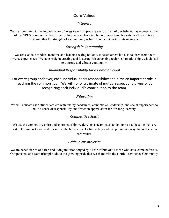# **Core Values**

# *Integrity*

We are committed to the highest sense of integrity encompassing every aspect of our behavior as representatives of the NPHS community. We strive for high moral character, honor, respect and honesty in all our actions realizing that the strength of a community is based on the integrity of its members.

# *Strength in Community*

We serve as role models, mentors, and leaders seeking not only to teach others but also to learn from their diverse experiences. We take pride in creating and fostering life enhancing reciprocal relationships, which lead to a strong and vibrant community.

# *Individual Responsibility for a Common Goal*

For every group endeavor, each individual bears responsibility and plays an important role in reaching the common goal. We will honor a climate of mutual respect and diversity by recognizing each individual's contribution to the team.

# *Education*

We will educate each student athlete with quality academics, competitive, leadership, and social experiences to build a sense of responsibility and foster an appreciation for life-long learning.

# *Competitive Spirit*

We use the competitive spirit and sportsmanship we develop as teammates to do our best to become the very best. Our goal is to win and to excel at the highest level while acting and competing in a way that reflects our core values.

# *Pride in NP Athletics*

We are beneficiaries of a rich and living tradition forged by all the efforts of all those who have come before us. Our personal and team triumphs add to the growing pride that we share with the North Providence Community.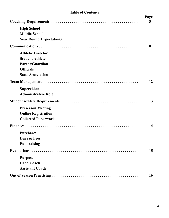# **Table of Contents**

|                                | Page<br>5 |
|--------------------------------|-----------|
| <b>High School</b>             |           |
| <b>Middle School</b>           |           |
| <b>Year Round Expectations</b> |           |
|                                | 8         |
| <b>Athletic Director</b>       |           |
| <b>Student Athlete</b>         |           |
| <b>Parent/Guardian</b>         |           |
| <b>Officials</b>               |           |
| <b>State Association</b>       |           |
|                                | 12        |
| <b>Supervision</b>             |           |
| <b>Administrative Role</b>     |           |
|                                | 13        |
| <b>Preseason Meeting</b>       |           |
| <b>Online Registration</b>     |           |
| <b>Collected Paperwork</b>     |           |
|                                | 14        |
| <b>Purchases</b>               |           |
| Dues & Fees                    |           |
| <b>Fundraising</b>             |           |
|                                | 15        |
| <b>Purpose</b>                 |           |
| <b>Head Coach</b>              |           |
| <b>Assistant Coach</b>         |           |
|                                | 16        |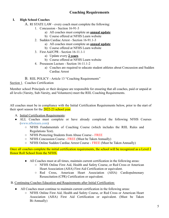# **Coaching Requirements**

#### **I. High School Coaches**

- A. RI STATE LAW every coach must complete the following:
	- 1. Concussion Section 16-91-3
		- a) All coaches must complete an **annual update**
		- b) Course offered at NFHS Learn website
	- 2. Sudden Cardiac Arrest Section 16-91.1-3
		- a) All coaches must complete an **annual update**
		- b) Course offered at NFHS Learn website
	- 3. First Aid/CPR Section 16-11.1-1
		- a) Update every **2 years**
		- b) Course offered at NFHS Learn website
	- 4. Preseason Lecture Section 16-11.1-2
		- a) Coaches are required to educate student athletes about Concussion and Sudden Cardiac Arrest

B. RIIL POLICY - Article 13 "Coaching Requirements"

#### Section 1. Coaches Certification

Member school Principals or their designee are responsible for ensuring that all coaches, paid or unpaid at all levels (Varsity, Sub-Varsity, and Volunteers) meet the RIIL Coaching Requirements.

All coaches must be in compliance with the Initial Certification Requirements below, prior to the start of their sport season for the 2022-23 school year.

- A. Initial Certification Requirements:
- ALL Coaches must complete or have already completed the following NFHS Courses ([www.nfhslearn.com\)](http://www.nfhslearn.com/)
	- NFHS Fundamentals of Coaching Course (which includes the RIIL Rules and Regulations Test).
	- NFHS Protecting Students from Abuse Course FREE
	- NFHS Concussion Course FREE (Must be Taken Annually)
	- NFHS Online Sudden Cardiac Arrest Course FREE (Must be Taken Annually)

Once all coaches complete the initial certification requirements, the school will be recognized as a Level 1 Honor Roll School from the NFHS.

- All Coaches must at all times, maintain current certification in the following areas:
	- NFHS Online First Aid, Health and Safety Course, or Red Cross or American Heart Association (AHA) First Aid Certification or equivalent.
	- Red Cross, American Heart Association (AHA) Cardiopulmonary Resuscitation (CPR) Certification or equivalent.

#### B. Continuing Coaches Education and Requirements after Initial Certification:

- All Coaches must continue to maintain current certification in the following areas:
	- NFHS Online First Aid, Health and Safety Course, or Red Cross or American Heart Association (AHA) First Aid Certification or equivalent. (Must be Taken Bi-Annually)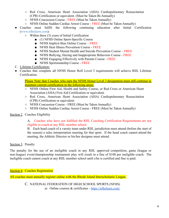- Red Cross, American Heart Association (AHA) Cardiopulmonary Resuscitation (CPR) Certification or equivalent. (Must be Taken Bi-Annually)
- NFHS Concussion Course FREE (Must be Taken Annually)
- NFHS Online Sudden Cardiac Arrest Course FREE (Must be Taken Annually)
- Coaches must fulfill the following continuing education after Initial Certification ([www.nfhslearn.com\)](http://www.nfhslearn.com/):
	- Within three (3) years of Initial Certification
		- (1) NFHS Online Sport-Specific Course
		- NFHS Implicit Bias Online Course FREE
		- NFHS Heat Illness Prevention Course FREE
		- NFHS Student Mental Health and Suicide Prevention Course FREE
		- NFHS Bullying, Hazing and Inappropriate Behaviors Course FREE
		- NFHS Engaging Effectively with Parents Course FREE
		- NFHS Sportsmanship Course FREE
- C. Lifetime Certification:
- Coaches that complete all NFHS Honor Roll Level 3 requirements will achieve RIIL Lifetime Certification.

Please Note that Coaches who earn the NFHS Honor Level 3 designation must still continue to maintain current certification in the following areas:

- NFHS Online First Aid, Health and Safety Course, or Red Cross or American Heart Association (AHA) First Aid Certification or equivalent.
- Red Cross, American Heart Association (AHA) Cardiopulmonary Resuscitation (CPR) Certification or equivalent.
- NFHS Concussion Course FREE (Must be Taken Annually)
- NFHS Online Sudden Cardiac Arrest Course FREE (Must be Taken Annually)

#### Section 2. Coaches Eligibility

A. Coaches who have not fulfilled the RIIL Coaching Certification Requirements are not eligible to coach at any RIIL member school.

B. Each head coach of a varsity team under RIIL jurisdiction must attend (before the start of the season) a rules interpretation meeting for that sport. If the head coach cannot attend the meeting, the Athletic Director or his/her designee must attend.

#### Section 3. Penalty

The penalty for the use of an ineligible coach in any RIIL approved competition, game (league or non-league) event/championship tournament play will result in a fine of \$100 per ineligible coach. The ineligible coach cannot coach at any RIIL member school until s/he is certified and fine is paid.

Section 4. Coaches Registration

All coaches must annually register online with the Rhode Island Interscholastic League.

C. NATIONAL FEDERATION OF HIGH SCHOOL SPORTS (NFHS) a) Online courses & certificates - <https://nfhslearn.com/>

6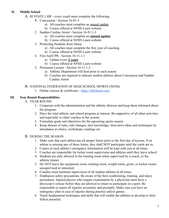#### **II. Middle School**

- A. RI STATE LAW every coach must complete the following:
	- **1.** Concussion Section 16-91-3
		- a) All coaches must complete an annual update
		- b) Course offered at NFHS Learn website
		- 2. Sudden Cardiac Arrest Section 16-91.1-3
			- a) All coaches must complete an **annual update**
			- b) Course offered at NFHS Learn website
		- 3. Protecting Students from Abuse
			- a) All coaches must complete the first year of coaching
			- b) Course offered at NFHS Learn website
		- 4. First Aid/CPR Section 16-11.1-1
			- a) Update every **2 years**
			- b) Course offered at NFHS Learn website
		- 5. Preseason Lecture Section 16-11.1-2
			- a) Athletic Department will host prior to each season
			- b) Coaches are required to educate student athletes about Concussion and Sudden Cardiac Arrest

#### B. NATIONAL FEDERATION OF HIGH SCHOOL SPORTS (NFHS)

1. Online courses & certificates - <https://nfhslearn.com/>

### **III. Year Round Responsibilities**

- A. YEAR ROUND
	- 1. Cooperate with the administration and the athletic director and keep them informed about the program.
	- 2. Have the total athletic and school program at interest. Be supportive of all other activities and especially to other coaches in the system.
	- 3. Formulate goals and objectives for the upcoming sports season.
	- 4. Keep abreast of rules, rule changes, new knowledge, innovative ideas and techniques by attendance at clinics, workshops, readings etc.

### B. DURING THE SEASON

- 1. Make sure that each athlete has all proper forms prior to the first day of tryouts. If an athlete is missing any of these forms, they shall NOT participate until the cards are in.
- 2. Copies of each athlete's emergency information will be kept with you at all times.
- 3. Coaches are responsible for locker room supervision and athletes until they leave school.
- 4. Students are only allowed in the training room when supervised by a coach, or the athletic trainer.
- 5. Do NOT leave the equipment room, training room, weight room, gyms, or locker rooms unsupervised or unlocked.
- 6. Coaches must maintain supervision of all student athletes at all times.
- 7. Emphasize safety precautions. Be aware of the best conditioning, training, and injury procedures. Injured players who require examination by a physician must have a physician's release before they are allowed to return to participate in a sport. Be responsible to report all injuries accurately and promptly. Make sure you have an emergency plan in case of injuries during practice and/or games.
- 8. Teach fundamental techniques and skills that will enable the athletes to develop to their fullest potential.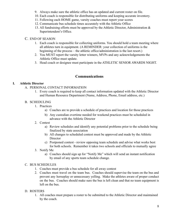- 9. Always make sure the athletic office has an updated and current roster on file.
- 10. Each coach is responsible for distributing uniforms and keeping accurate inventory.
- 11. Following each HOME game, varsity coaches must report your scores
- 12. Communicate bus schedule times accurately with the Athletic Office
- 13. All fundraising efforts must be approved by the Athletic Director, Administration & Superintendent's Office.

## C. END OF SEASON

- 1. Each coach is responsible for collecting uniforms. You should hold a team meeting where all athletes turn in equipment. (A REMINDER: your collection of uniforms is the beginning of the process – the athletic office/administration is the last resort.)
- 2. You MUST report the varsity letter winners, MVPs and any acknowledgements the Athletic Office must update.
- 3. Head coach or designee must participate in the ATHLETIC SENIOR AWARDS NIGHT.

# **Communications**

### **I. Athletic Director**

- A. PERSONAL CONTACT INFORMATION
	- 1. Every coach is required to keep all contact information updated with the Athletic Director and Human Resource Department (Name, Address, Phone, Email address, etc.)

# B. SCHEDULING

- 1. Practices
	- a) Coaches are to provide a schedule of practices and location for those practices
	- b) Any custodian overtime needed for weekend practices must be scheduled in advance with the Athletic Director
- 2. Contest
	- a) Review schedules and identify any potential problems prior to the schedule being finalized by state association
	- b) All changes to scheduled contest must be approved and made by the Athletic **Director**
	- c) Postponed contest review opposing team schedule and advise what works best for both schools. Remember it takes two schools and officials to mutually agree
- 3. Notify Me
	- a) Coaches should sign up for "Notify Me" which will send an instant notification by email of any sports team schedule change.

### C. BUS SCHEDULES

- 1. Coaches must provide a bus schedule for all away contest
- 2. Coaches must travel on the team bus. Coaches should supervise the team on the bus and prevent any horseplay or unnecessary yelling. Make the athletes aware of proper conduct on the bus. Coaches should make sure the bus is left clean and that no team equipment is left on the bus.

### D. ROSTERS

1. All coaches must prepare a roster to be submitted to the Athletic Director and maintained by the coach.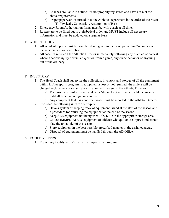- a) Coaches are liable if a student is not properly registered and have not met the above requirements.
- b) Proper paperwork is turned in to the Athletic Department in the order of the roster (1) Physicals, Concussion, Assumption of Risk
- 2. Emergency Room Authorization forms must be with coach at all times
- 3. Rosters are to be filled out in alphabetical order and MUST include all necessary information and must be updated on a regular basis.

#### E. ATHLETE INJURIES

- 1. All accident reports must be completed and given to the principal within 24 hours after the accident without exception.
- 2. All coaches must call the Athletic Director immediately following any practice or contest where a serious injury occurs, an ejection from a game, any crude behavior or anything out of the ordinary.

### F. INVENTORY

- 1. The Head Coach shall supervise the collection, inventory and storage of all the equipment within his/her sports program. If equipment is lost or not returned, the athlete will be charged replacement costs and a notification will be sent to the Athletic Director
	- a) The coach shall inform each athlete he/she will not receive any athletic awards until all financial obligations are met.
	- b) Any equipment that has abnormal usage must be reported to the Athletic Director
- 2. Consider the following in care of equipment
	- a) Have a system of keeping track of equipment issued at the start of the season and a procedure for returning the equipment at the end of the season
	- b) Keep ALL equipment not being used LOCKED in the appropriate storage area.
	- c) Collect IMMEDIATELY equipment of athletes who quit or are injured and cannot play the remainder of the season.
	- d) Store equipment in the best possible prescribed manner in the assigned areas.
	- e) Disposal of equipment must be handled through the AD Office.

#### G. FACILITY NEEDS

.

1. Report any facility needs/repairs that impacts the program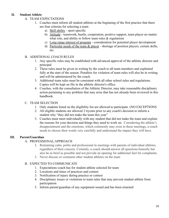#### **II. Student Athlete**

- A. TEAM EXPECTATIONS
	- 1. Coaches must inform all student athletes at the beginning of the first practice that there are four criterias for selecting a team
		- a) Skill ability sport specific
		- b) Attitude teamwork, hustle, cooperation, positive support, team player no matter what role, and ability to follow team rules  $\&$  regulations
		- c) Long range interest of program consideration for potential player development
		- d) Particular needs of the team & player shortage of position players, certain skills, etc.

### B. ADDITIONAL COACH RULES

- 1. Any specific rules may be established with advanced approval of the athletic director and principal
- 2. These rules must be given in writing by the coach to all team members and explained fully at the start of the season. Penalties for violation of team rules will also be in writing and will be administered by the coach.
- 3. Additional team rules must be consistent with all other school rules and regulations. Copies will be kept on file in the athletic director's office.
- 4. Coaches, with the consultation of the Athletic Director, may take reasonable disciplinary action pertaining to any problem that may arise that has not already been reviewed in this handbook.

# C. TEAM SELECTION

- 1. Only students listed on the eligibility list are allowed to participate. (NO EXCEPTIONS
- 2. All eligible students are allowed 3 tryouts prior to any coach's decision to inform a student why "they did not make the team this year"
- 3. Coaches must meet individually with any student that did not make the team and explain the reasons for your decision and things they need to work on. Considering the athlete's disappointment and the emotions, which commonly may exist in these meetings, a coach needs to choose their words very carefully and understand the impact they will have.

# **III. Parent/Guardian**

### A. PROFESSIONAL APPROACH

- 1. Remaining calm, polite and professional in meetings with parents of individual athletes, regardless of their concern. Certainly, a coach should answer all questions honestly but also be as brief as possible and not provide an opening for additional fuel for complaints.
- 2. Never discuss or comment other student athletes on the team

### B. EXPECTED TO COMMUNICATE

- 1. Expectations coach has for student athlete selected for team
- 2. Locations and times of practices and contest
- 3. Notification of injury during practice or contest
- 4. Disciplinary issues or violations to team rules that may prevent student athlete from participation
- 5. Inform parent/guardian of any equipment issued and has been returned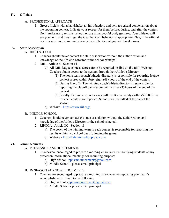#### **IV. Officials**

#### A. PROFESSIONAL APPROACH

1. Greet officials with a handshake, an introduction, and perhaps casual conversation about the upcoming contest. Indicate your respect for them before, during, and after the contest. Don't make nasty remarks, shout, or use disrespectful body gestures. Your athletes will see you do it, and they'll get the idea that such behavior is appropriate. Plus, if the official hears or sees you, communication between the two of you will break down.

#### **V. State Association**

- A. HIGH SCHOOL
	- 1. Coaches should never contact the state association without the authorization and knowledge of the Athletic Director or the school principal.
	- 2. RIIL Article 6 Section 14
		- a) All RIIL league contest scores are to be reported on-line on the RIIL Website. Coaches obtain access to the system through their Athletic Director.
			- (1) The home team (coach/athletic director) is responsible for reporting league contest scores within forty-eight (48) hours of the end of the contest
			- (2) During Playoffs: The winning coach/athletic director is responsible for reporting the playoff game score within three (3) hours of the end of the contest
			- (3) Penalty: Failure to report scores will result in a twenty-dollar (\$20.00) fine for each contest not reported. Schools will be billed at the end of the season
		- b) Website <https://www.riil.org/>

#### B. MIDDLE SCHOOL

- 1. Coaches should never contact the state association without the authorization and knowledge of the Athletic Director or the school principal.
- 2. RIPCOA Article IX Section 11
	- a) The coach of the winning team in each contest is responsible for reporting the results within two school days following the game.
	- b) Website <http://1ab.fa6.myftpupload.com/>

#### **VI. Announcements**

- A. PRESEASON ANNOUNCEMENTS
	- 1. Coaches are encouraged to prepare a morning announcement notifying students of any preseason informational meetings for recruiting purposes
		- a) High school [nphsannouncement@gmail.com](mailto:nphsannouncement@gmail.com)
		- b) Middle School please email principal

#### B. IN SEASON ACKNOWLEDGEMENTS

- 1. Coaches are encouraged to prepare a morning announcement updating your team's accomplishments. Email to the following
	- a) High school [nphsannouncement@gmail.com](mailto:nphsannouncement@gmail.com)
	- b) Middle School please email principal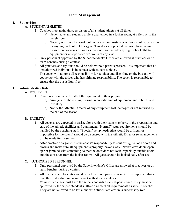# **Team Management**

## **I. Supervision**

- A. STUDENT ATHLETES
	- 1. Coaches must maintain supervision of all student athletes at all times
		- a) Never leave any student / athlete unattended in a locker room, at a field or in the weight room.
		- b) Nobody is allowed to work out under any circumstances without adult supervision on any high school field or gym. This does not preclude a coach from having pre-season workouts as long as that does not include any high school athletic equipment or unsupervised workouts of any kind.
	- 2. Only personnel approved by the Superintendent's Office are allowed at practices or on team benches during a contest.
	- 3. All practices and try-outs should be held without parents present. It is important that no unauthorized individual is in contact with student athletes.
	- 4. The coach will assume all responsibility for conduct and discipline on the bus and will cooperate with the driver who has ultimate responsibility. The coach is responsible to ensure that the bus is litter free.

# **II. Administrative Role**

- A. EQUIPMENT
	- 1. Coach is accountable for all of the equipment in their program
		- a) Arranges for the issuing, storing, reconditioning of equipment and submits and inventory
		- b) Notify the Athletic Director of any equipment lost, damaged or not returned by the end of the season

# B. FACILITY

- 1. All coaches are expected to assist, along with their team members, in the preparation and care of the athletic facilities and equipment. "Normal" setup requirements should be handled by the coaching staff. "Special" setup needs (that would be difficult or impossible for the coach) should be discussed with the Athletic Director so arrangements can be made for those items.
- 2. After practice or a game it is the coach's responsibility to shut off lights, lock doors and closets and make sure all equipment is properly locked away. Never leave doors open, ajar or jammed with something so that the door does not lock, especially outside doors and the exit door from the locker rooms. All gates should be locked daily after use.

### C. AUTHORIZED PERSONNEL

- 1. Only personnel approved by the Superintendent's Office are allowed at practices or on team benches during a contest.
- 2. All practices and try-outs should be held without parents present. It is important that no unauthorized individual is in contact with student athletes
- 3. Volunteer coaches must have the same standards as any stipend coach. They must be approved by the Superintendent's Office and meet all requirements as stipend coaches. They are not allowed to be left alone with student athletes in a supervisory role.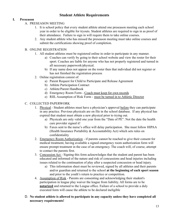# **Student Athlete Requirements**

#### **I. Preseason**

#### A. PRESEASON MEETING

- 1. It is school policy that every student athlete attend one preseason meeting each school year in order to be eligible for tryouts. Student athletes are required to sign in as proof of their attendance. Failure to sign in will require them to take online courses.
- 2. Any student athlete who has missed the preseason meeting must take online courses and submit the certifications showing proof of completion.

#### B. ONLINE REGISTRATION

- 1. All student athletes must be registered online in order to participate in any manner.
	- a) Coaches can verify by going to their school website and view the roster for their sport. Coaches are liable for anyone who has not properly registered and turned in all necessary paperwork/physical.
	- b) If any name does not appear on the roster then that individual did not register or has not finished the registration process
- 2. Online registration consist of:
	- a) Parent Request for Child to Participate and Release Agreement
	- b) Athlete Participation Contract
	- c) Athlete/Parent Handbook
	- d) Emergency Room Form Coach must keep for own records
	- e) RIIL Assumption of Risk Form must be turned in to Athletic Director

#### C. COLLECTED PAPERWORK

- 1. Physical Student athletes must have a physician's approval before they can participate in any practice. Previous physicals are on file in the school database. If any physical has expired that student must obtain a new physical prior to trying out.
	- a) Physicals are only valid one year from the "Date of PE". Not the date the health care provider signed it!
	- b) Faxes sent to the nurse's office will delay participation. She must follow HIPAA (Health Insurance Portability & Accountability Act) which sets rules on confidentiality
- 2. Emergency Room Authorization if parents cannot be reached to give their consent for medical treatment, having available a signed emergency room authorization form will ensure prompt treatment in the case of an emergency. The coach will, of course, attempt to contact the parents first.
- 3. Concussion Act Signing this form acknowledges that the student and parent has been educated and informed of the nature and risk of concussions and head injuries including issues related to the continuation of play after a suspected concussion or head injury.
	- a) This information sheet must be reviewed, signed by all athletes and their parents and/or guardian and returned to the school **at the beginning of each sport season** and prior to the youth's return to practice or competition.
- 4. Assumption of Risk Parents are consenting and acknowledging their student's participation in league play waiver the league from liability. All forms are to be **notarized** and returned to the League office. Failure of a school to provide a duly executed form will cause the athlete to be declared ineligible
- D. **No student athlete is allowed to participate in any capacity unless they have completed all necessary requirements!**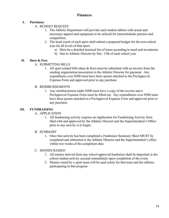# **Finances**

#### **I. Purchases**

- A. BUDGET REQUEST
	- 1. The Athletic Department will provide each student athlete with actual and necessary apparel and equipment to be utilized for interscholastic practice and competition.
	- 2. The head coach of each sport shall submit a proposed budget for the next school year for all levels of that sport.
		- a) Must be a detailed itemized list of items according to need and inventories
		- b) Due to Athletic Director by Dec. 15th of each school year

#### **II. Dues & Fees**

- A. SUBMITTING BILLS
	- 1. All sport related bills (dues  $\&$  fees) must be submitted with an invoice from the sending organization/association to the Athletic Director for payment. Any expenditures over \$500 must have three quotes attached to the PreApproval Expense Form and approved prior to any purchase.

#### B. REIMBURSEMENTS

1. Any reimbursement under \$500 must have a copy of the invoice and a PreApproval Expense Form must be filled out. Any expenditures over \$500 must have three quotes attached to a PreApproval Expense Form and approved prior to any purchase.

#### **III. FUNDRAISING**

#### A. APPLICATION

1. All fundraising activity requires an Application for Fundraising Activity form filed with and approved by the Athletic Director and the Superintendent's Office prior to any activity is to begin.

#### B. SUMMARY

1. Once that activity has been completed a Fundraiser Summary Sheet MUST be completed and submitted to the Athletic Director and the Superintendent's office within two weeks of the completion date.

#### C. MONIES RAISED

- 1. All monies derived from any school approved fundraiser shall be deposited in the school student activity account immediately upon completion of the event.
- 2. Monies raised by a sport team will be used solely for that team and the athletes participating in that program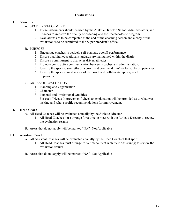# **Evaluations**

#### **I. Structure**

- A. STAFF DEVELOPMENT
	- 1. These instruments should be used by the Athletic Director, School Administrators, and Coaches to improve the quality of coaching and the interscholastic program.
	- 2. Evaluations are to be completed at the end of the coaching season and a copy of the evaluation is to be submitted to the Superintendent's office.

#### B. PURPOSE

- 1. Encourage coaches to actively self-evaluate overall performance.
- 2. Ensure that high educational standards are maintained within the district.
- 3. Ensure a commitment to character-driven athletics.
- 4. Promote constructive communication between coaches and administration.
- 5. Identify the specific strengths of a coach and commend him/her for such competencies.
- 6. Identify the specific weaknesses of the coach and collaborate upon goals for improvement

#### C. AREAS OF EVALUATION

- 1. Planning and Organization
- 2. Character
- 3. Personal and Professional Qualities
- 4. For each "Needs Improvement" check an explanation will be provided as to what was lacking and what specific recommendations for improvement.

#### **II. Head Coach**

- A. All Head Coaches will be evaluated annually by the Athletic Director
	- 1. All Head Coaches must arrange for a time to meet with the Athletic Director to review the evaluation results
- B. Areas that do not apply will be marked "NA"- Not Applicable

#### **III. Assistant Coach**

- A. All Assistant Coaches will be evaluated annually by the Head Coach of that sport
	- 1. All Head Coaches must arrange for a time to meet with their Assistant(s) to review the evaluation results
- B. Areas that do not apply will be marked "NA"- Not Applicable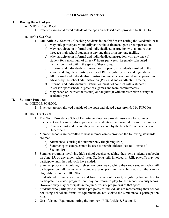# **Out Of Season Practices**

#### **I. During the school year**

- A. MIDDLE SCHOOL
	- 1. Practices are not allowed outside of the open and closed dates provided by RIPCOA

#### B. HIGH SCHOOL

- 1. RIIL Article 7; Section 7 Coaching Students in the Off Season During the Academic Year
	- a) May only participate voluntarily and without financial gain or compensation.
	- b) May participate in informal and individualized instruction with no more than three (3) high school students at any one time or in any one facility.
	- c) May participate in informal and individualized instruction with any one (1) student for a maximum of three (3) hours per week. Regularly scheduled instruction is not within the spirit of these rules.
	- d) Informal and individualized instruction is open to all students enrolled in the school and eligible to participate by all RIIL eligibility rules and regulations.
	- e) All informal and individualized instruction must be sanctioned and approved in advance by the school administration (Principal and/or Athletic Director).
	- f) Informal and individualized instruction must not conflict with a student's in-season sport schedule (practices, games and team commitments).
	- g) May coach or instruct their son(s) or daughter(s) without restriction during the academic year.

#### **II. Summer Practices**

- A. MIDDLE SCHOOL
	- 1. Practices are not allowed outside of the open and closed dates provided by RIPCOA
- B. HIGH SCHOOL
	- 1. The North Providence School Department does not provide insurance for summer practices. Coaches must inform parents that students are not insured in case of an injury.
		- a) Coaches must understand they are no covered by the North Providence School Department
	- 2. Member schools are permitted to host summer camps provided the following standards are met:
		- a) Attendance is during the summer only (beginning 6/15)
		- b) Summer sport camps cannot be used to recruit athletes (see RIIL Article 3, Section 10)
	- 3. Summer programs involving high school coaches coaching their own students can begin on June 15, of any given school year. Students still involved in RIIL playoffs may not participate until their playoffs have ended.
	- 4. Summer programs involving high school coaches coaching their own students who will participate on fall teams must complete play prior to the submission of the varsity eligibility list to the RIIL Office.
	- 5. Students whose names are removed from the school's varsity eligibility list are free to participate in outside programs but may not return to play for the school's varsity teams. However, they may participate in the junior varsity program(s) of that sport
	- 6. Students who participate in outside programs as individuals not representing their school nor using school uniforms or equipment do not violate the simultaneous participation rule.
	- 7. Use of School Equipment during the summer RIIL Article 6, Section 13.